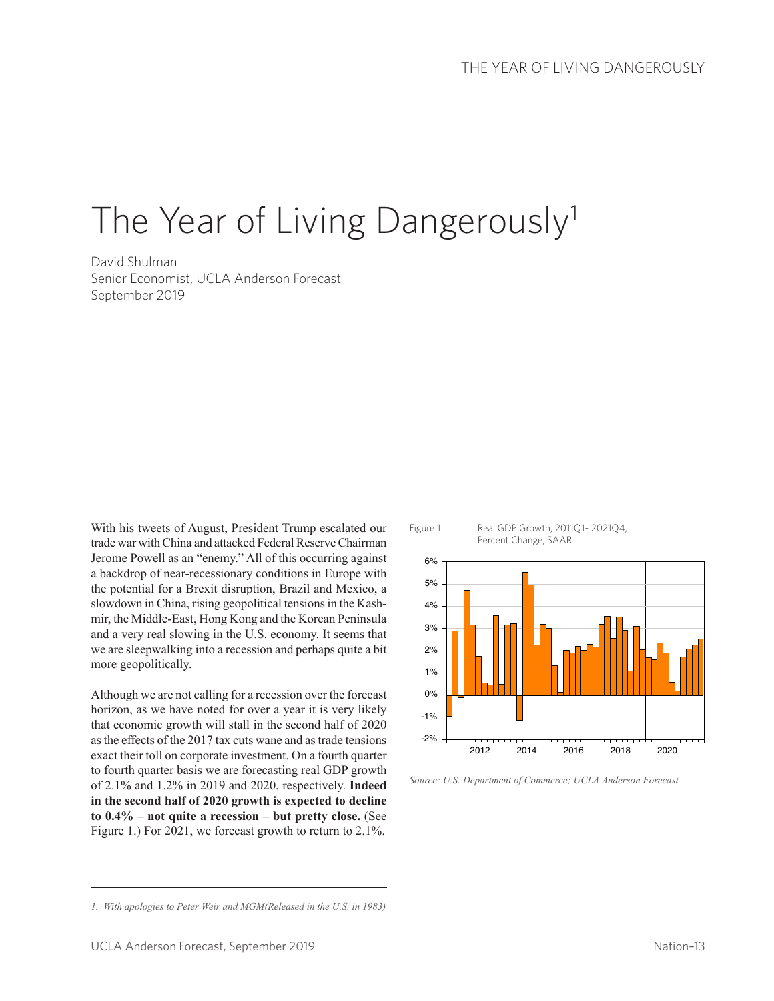# The Year of Living Dangerously<sup>1</sup>

David Shulman Senior Economist, UCLA Anderson Forecast September 2019

With his tweets of August, President Trump escalated our trade war with China and attacked Federal Reserve Chairman Jerome Powell as an "enemy." All of this occurring against a backdrop of near-recessionary conditions in Europe with the potential for a Brexit disruption, Brazil and Mexico, a slowdown in China, rising geopolitical tensions in the Kashmir, the Middle-East, Hong Kong and the Korean Peninsula and a very real slowing in the U.S. economy. It seems that we are sleepwalking into a recession and perhaps quite a bit more geopolitically.

Although we are not calling for a recession over the forecast horizon, as we have noted for over a year it is very likely that economic growth will stall in the second half of 2020 as the effects of the 2017 tax cuts wane and as trade tensions exact their toll on corporate investment. On a fourth quarter to fourth quarter basis we are forecasting real GDP growth of 2.1% and 1.2% in 2019 and 2020, respectively. **Indeed in the second half of 2020 growth is expected to decline to 0.4% – not quite a recession – but pretty close.** (See Figure 1.) For 2021, we forecast growth to return to 2.1%.



*Source: U.S. Department of Commerce; UCLA Anderson Forecast*

*<sup>1.</sup> With apologies to Peter Weir and MGM(Released in the U.S. in 1983)*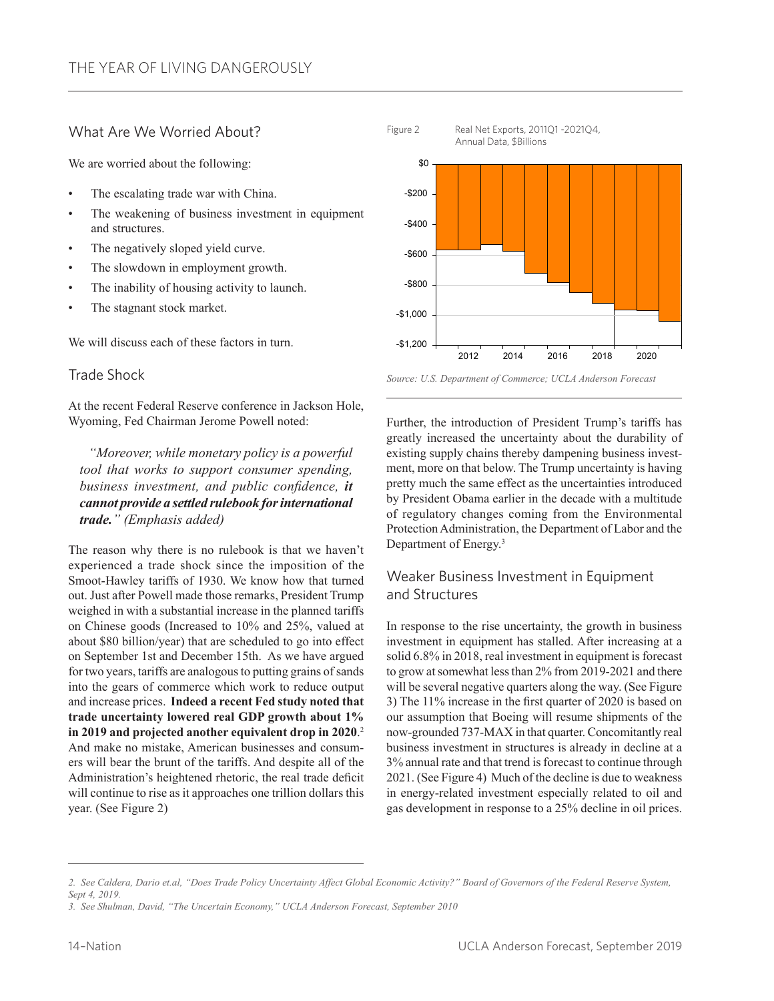### What Are We Worried About?

We are worried about the following:

- The escalating trade war with China.
- The weakening of business investment in equipment and structures.
- The negatively sloped yield curve.
- The slowdown in employment growth.
- The inability of housing activity to launch.
- The stagnant stock market.

We will discuss each of these factors in turn.

#### Trade Shock

At the recent Federal Reserve conference in Jackson Hole, Wyoming, Fed Chairman Jerome Powell noted:

 *"Moreover, while monetary policy is a powerful tool that works to support consumer spending, business investment, and public confidence, it cannot provide a settled rulebook for international trade." (Emphasis added)*

The reason why there is no rulebook is that we haven't experienced a trade shock since the imposition of the Smoot-Hawley tariffs of 1930. We know how that turned out. Just after Powell made those remarks, President Trump weighed in with a substantial increase in the planned tariffs on Chinese goods (Increased to 10% and 25%, valued at about \$80 billion/year) that are scheduled to go into effect on September 1st and December 15th. As we have argued for two years, tariffs are analogous to putting grains of sands into the gears of commerce which work to reduce output and increase prices. **Indeed a recent Fed study noted that trade uncertainty lowered real GDP growth about 1% in 2019 and projected another equivalent drop in 2020**. 2 And make no mistake, American businesses and consumers will bear the brunt of the tariffs. And despite all of the Administration's heightened rhetoric, the real trade deficit will continue to rise as it approaches one trillion dollars this year. (See Figure 2)



Figure 2 Real Net Exports, 2011Q1 -2021Q4,

*Source: U.S. Department of Commerce; UCLA Anderson Forecast*

Further, the introduction of President Trump's tariffs has greatly increased the uncertainty about the durability of existing supply chains thereby dampening business investment, more on that below. The Trump uncertainty is having pretty much the same effect as the uncertainties introduced by President Obama earlier in the decade with a multitude of regulatory changes coming from the Environmental Protection Administration, the Department of Labor and the Department of Energy.3

# Weaker Business Investment in Equipment and Structures

In response to the rise uncertainty, the growth in business investment in equipment has stalled. After increasing at a solid 6.8% in 2018, real investment in equipment is forecast to grow at somewhat less than 2% from 2019-2021 and there will be several negative quarters along the way. (See Figure 3) The 11% increase in the first quarter of 2020 is based on our assumption that Boeing will resume shipments of the now-grounded 737-MAX in that quarter. Concomitantly real business investment in structures is already in decline at a 3% annual rate and that trend is forecast to continue through 2021. (See Figure 4) Much of the decline is due to weakness in energy-related investment especially related to oil and gas development in response to a 25% decline in oil prices.

*<sup>2.</sup> See Caldera, Dario et.al, "Does Trade Policy Uncertainty Affect Global Economic Activity?" Board of Governors of the Federal Reserve System, Sept 4, 2019.*

*<sup>3.</sup> See Shulman, David, "The Uncertain Economy," UCLA Anderson Forecast, September 2010*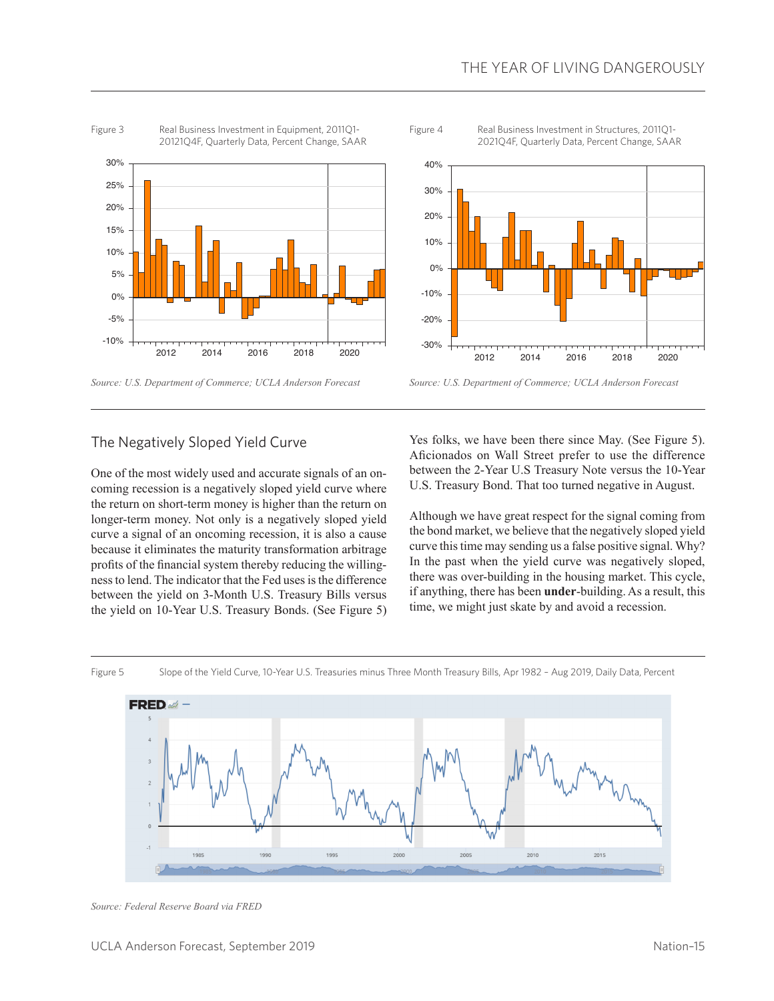

*Source: U.S. Department of Commerce; UCLA Anderson Forecast*



Figure 4 Real Business Investment in Structures, 2011Q1-2021Q4F, Quarterly Data, Percent Change, SAAR



*Source: U.S. Department of Commerce; UCLA Anderson Forecast*

#### The Negatively Sloped Yield Curve

One of the most widely used and accurate signals of an oncoming recession is a negatively sloped yield curve where the return on short-term money is higher than the return on longer-term money. Not only is a negatively sloped yield curve a signal of an oncoming recession, it is also a cause because it eliminates the maturity transformation arbitrage profits of the financial system thereby reducing the willingness to lend. The indicator that the Fed uses is the difference between the yield on 3-Month U.S. Treasury Bills versus the yield on 10-Year U.S. Treasury Bonds. (See Figure 5) Yes folks, we have been there since May. (See Figure 5). Aficionados on Wall Street prefer to use the difference between the 2-Year U.S Treasury Note versus the 10-Year U.S. Treasury Bond. That too turned negative in August.

Although we have great respect for the signal coming from the bond market, we believe that the negatively sloped yield curve this time may sending us a false positive signal. Why? In the past when the yield curve was negatively sloped, there was over-building in the housing market. This cycle, if anything, there has been **under**-building. As a result, this time, we might just skate by and avoid a recession.



Figure 5 Slope of the Yield Curve, 10-Year U.S. Treasuries minus Three Month Treasury Bills, Apr 1982 – Aug 2019, Daily Data, Percent

*Source: Federal Reserve Board via FRED*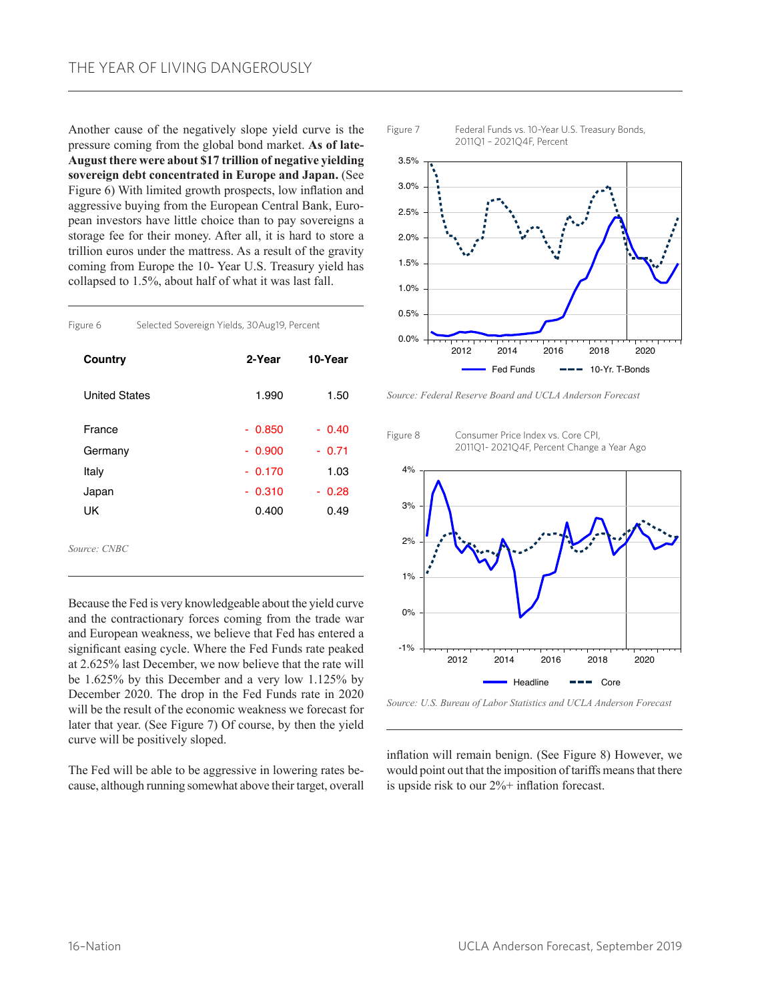Another cause of the negatively slope yield curve is the pressure coming from the global bond market. **As of late-August there were about \$17 trillion of negative yielding sovereign debt concentrated in Europe and Japan.** (See Figure 6) With limited growth prospects, low inflation and aggressive buying from the European Central Bank, European investors have little choice than to pay sovereigns a storage fee for their money. After all, it is hard to store a trillion euros under the mattress. As a result of the gravity coming from Europe the 10- Year U.S. Treasury yield has collapsed to 1.5%, about half of what it was last fall.

| Figure 6             |  | Selected Sovereign Yields, 30Aug19, Percent |         |  |
|----------------------|--|---------------------------------------------|---------|--|
| Country              |  | 2-Year                                      | 10-Year |  |
| <b>United States</b> |  | 1.990                                       | 1.50    |  |
| France               |  | $-0.850$                                    | $-0.40$ |  |
| Germany              |  | $-0.900$                                    | $-0.71$ |  |
| Italy                |  | $-0.170$                                    | 1.03    |  |
| Japan                |  | $-0.310$                                    | - 0.28  |  |
| UK                   |  | 0.400                                       | 0.49    |  |
| Source: CNBC         |  |                                             |         |  |

Because the Fed is very knowledgeable about the yield curve and the contractionary forces coming from the trade war and European weakness, we believe that Fed has entered a significant easing cycle. Where the Fed Funds rate peaked at 2.625% last December, we now believe that the rate will be 1.625% by this December and a very low 1.125% by December 2020. The drop in the Fed Funds rate in 2020 will be the result of the economic weakness we forecast for later that year. (See Figure 7) Of course, by then the yield curve will be positively sloped.

The Fed will be able to be aggressive in lowering rates because, although running somewhat above their target, overall



*Source: Federal Reserve Board and UCLA Anderson Forecast*

Figure 8 Consumer Price Index vs. Core CPI,



*Source: U.S. Bureau of Labor Statistics and UCLA Anderson Forecast*

inflation will remain benign. (See Figure 8) However, we would point out that the imposition of tariffs means that there is upside risk to our 2%+ inflation forecast.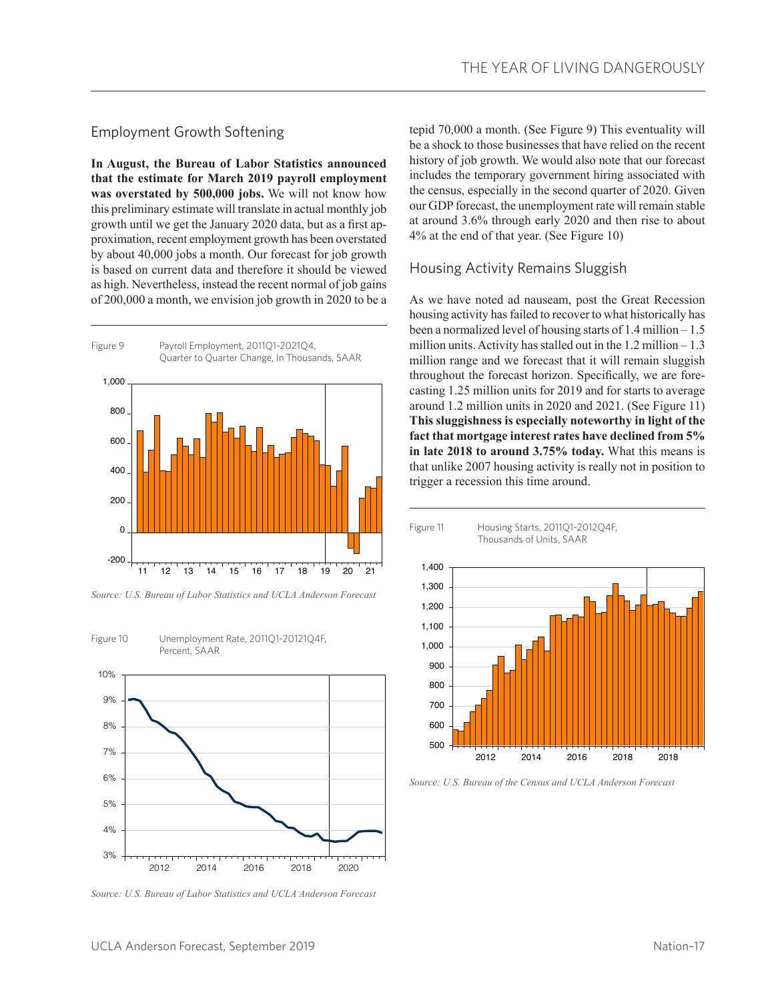## Employment Growth Softening

**In August, the Bureau of Labor Statistics announced that the estimate for March 2019 payroll employment was overstated by 500,000 jobs.** We will not know how this preliminary estimate will translate in actual monthly job growth until we get the January 2020 data, but as a first approximation, recent employment growth has been overstated by about 40,000 jobs a month. Our forecast for job growth is based on current data and therefore it should be viewed as high. Nevertheless, instead the recent normal of job gains of 200,000 a month, we envision job growth in 2020 to be a



*Source: U.S. Bureau of Labor Statistics and UCLA Anderson Forecast*



*Source: U.S. Bureau of Labor Statistics and UCLA Anderson Forecast*

tepid 70,000 a month. (See Figure 9) This eventuality will be a shock to those businesses that have relied on the recent history of job growth. We would also note that our forecast includes the temporary government hiring associated with the census, especially in the second quarter of 2020. Given our GDP forecast, the unemployment rate will remain stable at around 3.6% through early 2020 and then rise to about 4% at the end of that year. (See Figure 10)

#### Housing Activity Remains Sluggish

As we have noted ad nauseam, post the Great Recession housing activity has failed to recover to what historically has been a normalized level of housing starts of 1.4 million – 1.5 million units. Activity has stalled out in the  $1.2$  million  $-1.3$ million range and we forecast that it will remain sluggish throughout the forecast horizon. Specifically, we are forecasting 1.25 million units for 2019 and for starts to average around 1.2 million units in 2020 and 2021. (See Figure 11) **This sluggishness is especially noteworthy in light of the fact that mortgage interest rates have declined from 5% in late 2018 to around 3.75% today.** What this means is that unlike 2007 housing activity is really not in position to trigger a recession this time around.



*Source: U.S. Bureau of the Census and UCLA Anderson Forecast*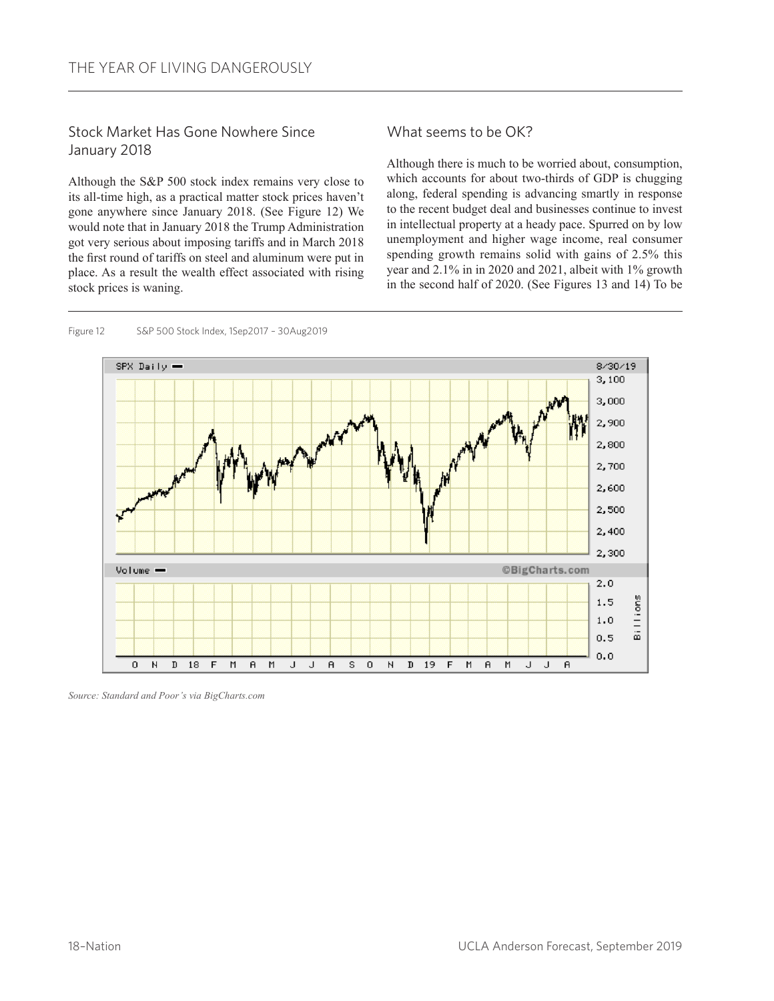# Stock Market Has Gone Nowhere Since January 2018

Although the S&P 500 stock index remains very close to its all-time high, as a practical matter stock prices haven't gone anywhere since January 2018. (See Figure 12) We would note that in January 2018 the Trump Administration got very serious about imposing tariffs and in March 2018 the first round of tariffs on steel and aluminum were put in place. As a result the wealth effect associated with rising stock prices is waning.

What seems to be OK?

Although there is much to be worried about, consumption, which accounts for about two-thirds of GDP is chugging along, federal spending is advancing smartly in response to the recent budget deal and businesses continue to invest in intellectual property at a heady pace. Spurred on by low unemployment and higher wage income, real consumer spending growth remains solid with gains of 2.5% this year and 2.1% in in 2020 and 2021, albeit with 1% growth in the second half of 2020. (See Figures 13 and 14) To be



Figure 12 S&P 500 Stock Index, 1Sep2017 – 30Aug2019

*Source: Standard and Poor's via BigCharts.com*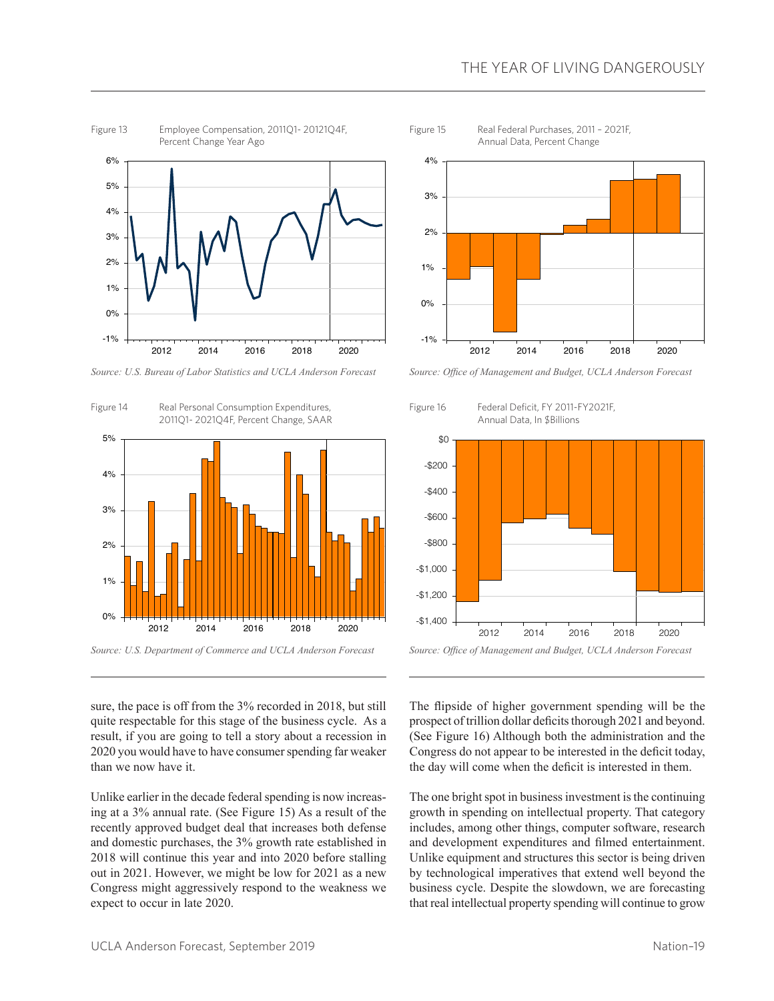

*Source: U.S. Bureau of Labor Statistics and UCLA Anderson Forecast*



Annual Data, Percent Change 0% 1% 2% 3% 4%

Figure 15 Real Federal Purchases, 2011 – 2021F,

*Source: Office of Management and Budget, UCLA Anderson Forecast*

2012 2014 2016 2018 2020

 $-1%$ 



sure, the pace is off from the 3% recorded in 2018, but still quite respectable for this stage of the business cycle. As a result, if you are going to tell a story about a recession in 2020 you would have to have consumer spending far weaker than we now have it.

Unlike earlier in the decade federal spending is now increasing at a 3% annual rate. (See Figure 15) As a result of the recently approved budget deal that increases both defense and domestic purchases, the 3% growth rate established in 2018 will continue this year and into 2020 before stalling out in 2021. However, we might be low for 2021 as a new Congress might aggressively respond to the weakness we expect to occur in late 2020.

The flipside of higher government spending will be the prospect of trillion dollar deficits thorough 2021 and beyond. (See Figure 16) Although both the administration and the Congress do not appear to be interested in the deficit today, the day will come when the deficit is interested in them.

The one bright spot in business investment is the continuing growth in spending on intellectual property. That category includes, among other things, computer software, research and development expenditures and filmed entertainment. Unlike equipment and structures this sector is being driven by technological imperatives that extend well beyond the business cycle. Despite the slowdown, we are forecasting that real intellectual property spending will continue to grow